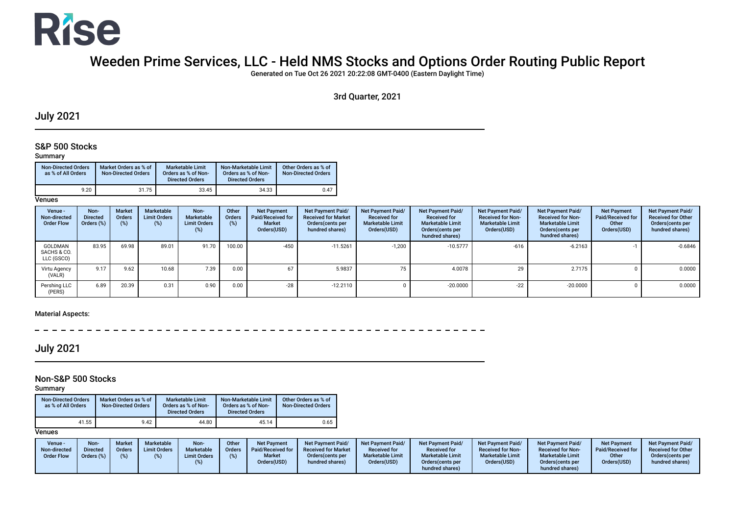

# Weeden Prime Services, LLC - Held NMS Stocks and Options Order Routing Public Report

Generated on Tue Oct 26 2021 20:22:08 GMT-0400 (Eastern Daylight Time)

3rd Quarter, 2021

### July 2021

#### S&P 500 Stocks

#### Summary

| <b>Non-Directed Orders</b><br>as % of All Orders | Market Orders as % of<br><b>Non-Directed Orders</b> | <b>Marketable Limit</b><br>Orders as % of Non-<br><b>Directed Orders</b> | Non-Marketable Limit<br>Orders as % of Non-<br><b>Directed Orders</b> | Other Orders as % of<br>Non-Directed Orders |
|--------------------------------------------------|-----------------------------------------------------|--------------------------------------------------------------------------|-----------------------------------------------------------------------|---------------------------------------------|
| 9.20                                             | 31.75                                               | 33.45                                                                    | 34.33                                                                 | 0.47                                        |

**Venues** 

| Venue -<br>Non-directed<br><b>Order Flow</b> | Non-<br><b>Directed</b><br>Orders (%) | <b>Market</b><br>Orders<br>$(\%)$ | Marketable<br><b>Limit Orders</b><br>(%) | Non-<br>Marketable<br><b>Limit Orders</b><br>(%) | Other<br>Orders<br>(%) | <b>Net Payment</b><br>Paid/Received for<br><b>Market</b><br>Orders(USD) | Net Payment Paid/<br><b>Received for Market</b><br>Orders (cents per<br>hundred shares) | Net Payment Paid/<br><b>Received for</b><br><b>Marketable Limit</b><br>Orders(USD) | <b>Net Payment Paid/</b><br><b>Received for</b><br><b>Marketable Limit</b><br>Orders (cents per<br>hundred shares) | Net Payment Paid/<br><b>Received for Non-</b><br><b>Marketable Limit</b><br>Orders(USD) | Net Payment Paid/<br><b>Received for Non-</b><br><b>Marketable Limit</b><br>Orders (cents per<br>hundred shares) | <b>Net Payment</b><br>Paid/Received for<br>Other<br>Orders(USD) | Net Payment Paid/<br><b>Received for Other</b><br>Orders(cents per<br>hundred shares) |
|----------------------------------------------|---------------------------------------|-----------------------------------|------------------------------------------|--------------------------------------------------|------------------------|-------------------------------------------------------------------------|-----------------------------------------------------------------------------------------|------------------------------------------------------------------------------------|--------------------------------------------------------------------------------------------------------------------|-----------------------------------------------------------------------------------------|------------------------------------------------------------------------------------------------------------------|-----------------------------------------------------------------|---------------------------------------------------------------------------------------|
| GOLDMAN<br>SACHS & CO.<br>LLC (GSCO)         | 83.95                                 | 69.98                             | 89.01                                    | 91.70                                            | 100.00                 | $-450$                                                                  | $-11.5261$                                                                              | $-1,200$                                                                           | $-10.5777$                                                                                                         | $-616$                                                                                  | $-6.2163$                                                                                                        |                                                                 | $-0.6846$                                                                             |
| Virtu Agency<br>(VALR)                       | 9.17                                  | 9.62                              | 10.68                                    | 7.39                                             | 0.00                   | 67                                                                      | 5.9837                                                                                  | 75                                                                                 | 4.0078                                                                                                             | 29                                                                                      | 2.7175                                                                                                           |                                                                 | 0.0000                                                                                |
| Pershing LLC<br>(PERS)                       | 6.89                                  | 20.39                             | 0.31                                     | 0.90                                             | 0.00                   | $-28$                                                                   | $-12.2110$                                                                              |                                                                                    | $-20.0000$                                                                                                         | $-22$                                                                                   | $-20.0000$                                                                                                       |                                                                 | 0.0000                                                                                |

#### Material Aspects:

 $- - - - - - - -$ 

July 2021

### Non-S&P 500 Stocks

Summary

| <b>Non-Directed Orders</b><br>as % of All Orders | Market Orders as % of<br><b>Non-Directed Orders</b> | Marketable Limit<br>Orders as % of Non-<br><b>Directed Orders</b> | Non-Marketable Limit<br>Orders as % of Non-<br><b>Directed Orders</b> | Other Orders as % of<br><b>Non-Directed Orders</b> |
|--------------------------------------------------|-----------------------------------------------------|-------------------------------------------------------------------|-----------------------------------------------------------------------|----------------------------------------------------|
| 41.55                                            | 9.42                                                | 44.80                                                             | 45.14                                                                 | 0.65                                               |

| Venue -<br>Non-directed<br><b>Order Flow</b> | <b>Non</b><br>Directed<br>Orders (%) | <b>Marketable</b><br><b>Market</b><br><b>Limit Orders</b><br>Orders<br>(%) | Non-<br>Marketable<br><b>Limit Orders</b> | Other<br><b>Orders</b><br>(%) | <b>Net Payment</b><br>Paid/Received for<br><b>Market</b><br>Orders(USD) | <b>Net Payment Paid/</b><br><b>Received for Market</b><br>Orders (cents per<br>hundred shares) | Net Payment Paid/<br><b>Received for</b><br><b>Marketable Limit</b><br>Orders(USD) | <b>Net Payment Paid/</b><br><b>Received for</b><br><b>Marketable Limit</b><br>Orders(cents per<br>hundred shares) | <b>Net Payment Paid/</b><br><b>Received for Non-</b><br><b>Marketable Limit</b><br>Orders(USD) | <b>Net Payment Paid/</b><br><b>Received for Non-</b><br><b>Marketable Limit</b><br>Orders(cents per<br>hundred shares) | <b>Net Payment</b><br>Paid/Received for<br>Other<br>Orders(USD) | Net Payment Paid/<br><b>Received for Other</b><br>Orders (cents per<br>hundred shares) |
|----------------------------------------------|--------------------------------------|----------------------------------------------------------------------------|-------------------------------------------|-------------------------------|-------------------------------------------------------------------------|------------------------------------------------------------------------------------------------|------------------------------------------------------------------------------------|-------------------------------------------------------------------------------------------------------------------|------------------------------------------------------------------------------------------------|------------------------------------------------------------------------------------------------------------------------|-----------------------------------------------------------------|----------------------------------------------------------------------------------------|
|----------------------------------------------|--------------------------------------|----------------------------------------------------------------------------|-------------------------------------------|-------------------------------|-------------------------------------------------------------------------|------------------------------------------------------------------------------------------------|------------------------------------------------------------------------------------|-------------------------------------------------------------------------------------------------------------------|------------------------------------------------------------------------------------------------|------------------------------------------------------------------------------------------------------------------------|-----------------------------------------------------------------|----------------------------------------------------------------------------------------|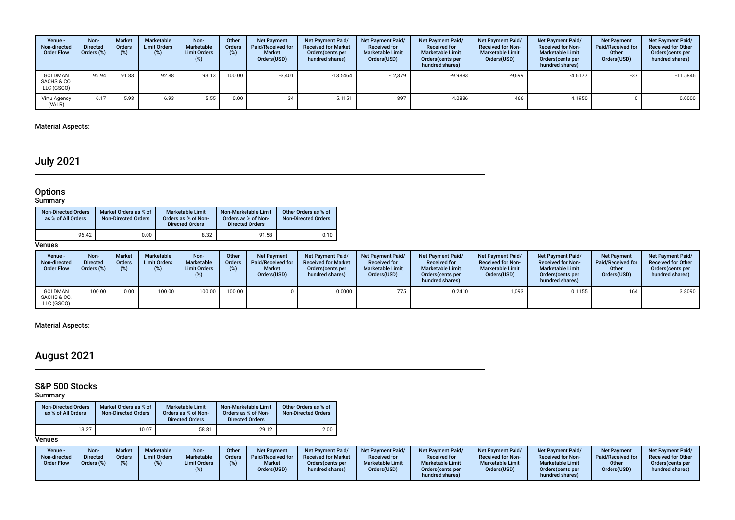| Venue -<br>Non-directed<br><b>Order Flow</b> | Non-<br><b>Directed</b><br>Orders (%) | <b>Market</b><br>Orders<br>$(\%)$ | Marketable<br><b>Limit Orders</b><br>(%) | Non-<br>Marketable<br><b>Limit Orders</b><br>(%) | Other<br>Orders<br>(%) | <b>Net Payment</b><br>Paid/Received for<br><b>Market</b><br>Orders(USD) | <b>Net Payment Paid/</b><br><b>Received for Market</b><br>Orders (cents per<br>hundred shares) | <b>Net Payment Paid/</b><br><b>Received for</b><br><b>Marketable Limit</b><br>Orders(USD) | <b>Net Payment Paid/</b><br><b>Received for</b><br><b>Marketable Limit</b><br>Orders (cents per<br>hundred shares) | <b>Net Payment Paid/</b><br><b>Received for Non-</b><br><b>Marketable Limit</b><br>Orders(USD) | <b>Net Payment Paid/</b><br><b>Received for Non-</b><br><b>Marketable Limit</b><br>Orders (cents per<br>hundred shares) | <b>Net Payment</b><br>Paid/Received for<br>Other<br>Orders(USD) | Net Payment Paid/<br><b>Received for Other</b><br>Orders(cents per<br>hundred shares) |
|----------------------------------------------|---------------------------------------|-----------------------------------|------------------------------------------|--------------------------------------------------|------------------------|-------------------------------------------------------------------------|------------------------------------------------------------------------------------------------|-------------------------------------------------------------------------------------------|--------------------------------------------------------------------------------------------------------------------|------------------------------------------------------------------------------------------------|-------------------------------------------------------------------------------------------------------------------------|-----------------------------------------------------------------|---------------------------------------------------------------------------------------|
| GOLDMAN<br>SACHS & CO.<br>LLC (GSCO)         | 92.94                                 | 91.83                             | 92.88                                    | 93.13                                            | 100.00                 | $-3,401$                                                                | $-13.5464$                                                                                     | $-12,379$                                                                                 | -9.9883                                                                                                            | $-9,699$                                                                                       | $-4.6177$                                                                                                               | $-37$                                                           | $-11.5846$                                                                            |
| Virtu Agency<br>(VALR)                       | 6.17                                  | 5.93                              | 6.93                                     | 5.55                                             | 0.00                   | 34                                                                      | 5.1151                                                                                         | 897                                                                                       | 4.0836                                                                                                             | 466                                                                                            | 4.1950                                                                                                                  |                                                                 | 0.0000                                                                                |

 $\sim$ -----------

# July 2021

#### **Options**

#### Summary

| <b>Non-Directed Orders</b><br>as % of All Orders | Market Orders as % of<br><b>Non-Directed Orders</b> | Marketable Limit<br>Orders as % of Non-<br><b>Directed Orders</b> | Non-Marketable Limit<br>Orders as % of Non-<br><b>Directed Orders</b> | Other Orders as % of<br>Non-Directed Orders |
|--------------------------------------------------|-----------------------------------------------------|-------------------------------------------------------------------|-----------------------------------------------------------------------|---------------------------------------------|
| 96.42                                            | 0.00                                                | 8.32                                                              | 91.58                                                                 | 0.10                                        |

#### **Venues**

| Venue -<br>Non-directed<br><b>Order Flow</b> | Non-<br><b>Directed</b><br>Orders (%) | <b>Market</b><br><b>Orders</b> | Marketable<br><b>Limit Orders</b><br>(%) | Non-<br>Marketable<br><b>Limit Orders</b><br>(%) | Other<br><b>Orders</b><br>(%) | <b>Net Payment</b><br>Paid/Received for<br><b>Market</b><br>Orders(USD) | <b>Net Payment Paid/</b><br><b>Received for Market</b><br>Orders (cents per<br>hundred shares) | <b>Net Payment Paid/</b><br><b>Received for</b><br><b>Marketable Limit</b><br>Orders(USD) | <b>Net Payment Paid/</b><br><b>Received for</b><br><b>Marketable Limit</b><br>Orders (cents per<br>hundred shares) | <b>Net Payment Paid/</b><br><b>Received for Non-</b><br><b>Marketable Limit</b><br>Orders(USD) | <b>Net Payment Paid/</b><br><b>Received for Non-</b><br><b>Marketable Limit</b><br>Orders (cents per<br>hundred shares) | <b>Net Payment</b><br><b>Paid/Received for</b><br>Other<br>Orders(USD) | <b>Net Payment Paid/</b><br><b>Received for Other</b><br>Orders(cents per<br>hundred shares) |
|----------------------------------------------|---------------------------------------|--------------------------------|------------------------------------------|--------------------------------------------------|-------------------------------|-------------------------------------------------------------------------|------------------------------------------------------------------------------------------------|-------------------------------------------------------------------------------------------|--------------------------------------------------------------------------------------------------------------------|------------------------------------------------------------------------------------------------|-------------------------------------------------------------------------------------------------------------------------|------------------------------------------------------------------------|----------------------------------------------------------------------------------------------|
| GOLDMAN<br>SACHS & CO.<br>LLC (GSCO)         | 100.00                                | 0.00                           | 100.00                                   | 100.00                                           | 100.00                        |                                                                         | 0.0000                                                                                         | 775                                                                                       | 0.2410                                                                                                             | 1,093                                                                                          | 0.1155                                                                                                                  | 164                                                                    | 3.8090                                                                                       |

### Material Aspects:

# August 2021

### S&P 500 Stocks

#### Summary

| <b>Non-Directed Orders</b><br>as % of All Orders | Market Orders as % of<br><b>Non-Directed Orders</b> | Marketable Limit<br>Orders as % of Non-<br><b>Directed Orders</b> | Non-Marketable Limit<br>Orders as % of Non-<br><b>Directed Orders</b> | Other Orders as % of<br><b>Non-Directed Orders</b> |
|--------------------------------------------------|-----------------------------------------------------|-------------------------------------------------------------------|-----------------------------------------------------------------------|----------------------------------------------------|
| 13.27                                            | 10.07                                               | 58.81                                                             | 29.12                                                                 | 2.00                                               |

| Venue -<br>Non-directed<br><b>Order Flow</b> | <b>Non-</b><br><b>Directed</b><br>Orders (%) | Marketable<br><b>Market</b><br><b>Limit Orders</b><br>Orders<br>$(\%)$ | Non-<br><b>Marketable</b><br><b>Limit Orders</b> | Other<br><b>Orders</b><br>(%) | <b>Net Payment</b><br>Paid/Received for<br><b>Market</b><br>Orders(USD) | <b>Net Payment Paid/</b><br><b>Received for Market</b><br>Orders (cents per<br>hundred shares) | <b>Net Payment Paid/</b><br><b>Received for</b><br><b>Marketable Limit</b><br>Orders(USD) | <b>Net Payment Paid/</b><br><b>Received for</b><br><b>Marketable Limit</b><br>Orders (cents per<br>hundred shares) | <b>Net Payment Paid/</b><br><b>Received for Non-</b><br><b>Marketable Limit</b><br>Orders(USD) | Net Payment Paid/<br><b>Received for Non-</b><br><b>Marketable Limit</b><br>Orders(cents per<br>hundred shares) | <b>Net Payment</b><br>Paid/Received for<br>Other<br>Orders(USD) | <b>Net Payment Paid/</b><br><b>Received for Other</b><br>Orders(cents per<br>hundred shares) |
|----------------------------------------------|----------------------------------------------|------------------------------------------------------------------------|--------------------------------------------------|-------------------------------|-------------------------------------------------------------------------|------------------------------------------------------------------------------------------------|-------------------------------------------------------------------------------------------|--------------------------------------------------------------------------------------------------------------------|------------------------------------------------------------------------------------------------|-----------------------------------------------------------------------------------------------------------------|-----------------------------------------------------------------|----------------------------------------------------------------------------------------------|
|----------------------------------------------|----------------------------------------------|------------------------------------------------------------------------|--------------------------------------------------|-------------------------------|-------------------------------------------------------------------------|------------------------------------------------------------------------------------------------|-------------------------------------------------------------------------------------------|--------------------------------------------------------------------------------------------------------------------|------------------------------------------------------------------------------------------------|-----------------------------------------------------------------------------------------------------------------|-----------------------------------------------------------------|----------------------------------------------------------------------------------------------|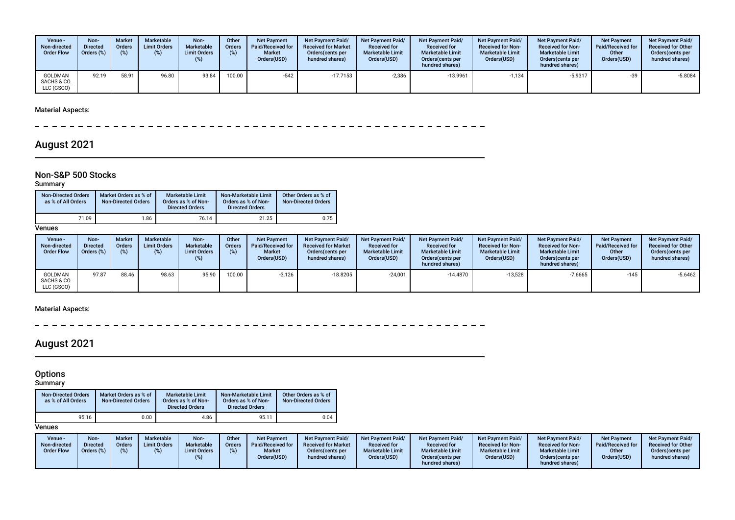| Venue -<br>Non-directed<br><b>Order Flow</b> | Non-<br><b>Directed</b><br>Orders (%) | <b>Market</b><br><b>Orders</b><br>(%) | Marketable<br><b>Limit Orders</b><br>(%) | Non-<br>Marketable<br><b>Limit Orders</b> | Other<br><b>Orders</b><br>(%) | <b>Net Payment</b><br>Paid/Received for<br><b>Market</b><br>Orders(USD) | <b>Net Payment Paid/</b><br><b>Received for Market</b><br>Orders (cents per<br>hundred shares) | <b>Net Payment Paid/</b><br><b>Received for</b><br><b>Marketable Limit</b><br>Orders(USD) | Net Payment Paid/<br><b>Received for</b><br><b>Marketable Limit</b><br>Orders (cents per<br>hundred shares) | <b>Net Payment Paid/</b><br><b>Received for Non-</b><br><b>Marketable Limit</b><br>Orders(USD) | <b>Net Payment Paid/</b><br><b>Received for Non-</b><br><b>Marketable Limit</b><br>Orders (cents per<br>hundred shares) | <b>Net Payment</b><br><b>Paid/Received for</b><br>Other<br>Orders(USD) | <b>Net Payment Paid/</b><br><b>Received for Other</b><br>Orders(cents per<br>hundred shares) |
|----------------------------------------------|---------------------------------------|---------------------------------------|------------------------------------------|-------------------------------------------|-------------------------------|-------------------------------------------------------------------------|------------------------------------------------------------------------------------------------|-------------------------------------------------------------------------------------------|-------------------------------------------------------------------------------------------------------------|------------------------------------------------------------------------------------------------|-------------------------------------------------------------------------------------------------------------------------|------------------------------------------------------------------------|----------------------------------------------------------------------------------------------|
| GOLDMAN<br>SACHS & CO.<br>LLC (GSCO)         | 92.19                                 | 58.91                                 | 96.80                                    | 93.84                                     | 100.00                        | $-542$                                                                  | $-17.7153$                                                                                     | $-2,386$                                                                                  | $-13.9961$                                                                                                  | $-1,134$                                                                                       | $-5.9317$                                                                                                               | -39                                                                    | $-5.8084$                                                                                    |

 $\sim$  $-$ 

## August 2021

### Non-S&P 500 Stocks

Summary

| <b>Non-Directed Orders</b><br>as % of All Orders | Market Orders as % of<br><b>Non-Directed Orders</b> | <b>Marketable Limit</b><br>Orders as % of Non-<br><b>Directed Orders</b> | Non-Marketable Limit<br>Orders as % of Non-<br><b>Directed Orders</b> | Other Orders as % of<br><b>Non-Directed Orders</b> |
|--------------------------------------------------|-----------------------------------------------------|--------------------------------------------------------------------------|-----------------------------------------------------------------------|----------------------------------------------------|
| 71.09                                            | 1.86                                                | 76.14                                                                    | 21.25                                                                 | 0.75                                               |

**Venues** 

| Venue -<br>Non-directed<br><b>Order Flow</b> | Non-<br><b>Directed</b><br>Orders (%) | <b>Market</b><br><b>Orders</b><br>(%) | <b>Marketable</b><br><b>Limit Orders</b><br>(%) | Non-<br>Marketable<br><b>Limit Orders</b><br>(%) | Other<br>Orders<br>(%) | <b>Net Payment</b><br>Paid/Received for<br><b>Market</b><br>Orders(USD) | <b>Net Payment Paid/</b><br><b>Received for Market</b><br>Orders (cents per<br>hundred shares) | <b>Net Payment Paid/</b><br><b>Received for</b><br><b>Marketable Limit</b><br>Orders(USD) | <b>Net Payment Paid/</b><br><b>Received for</b><br><b>Marketable Limit</b><br>Orders (cents per<br>hundred shares) | <b>Net Payment Paid/</b><br><b>Received for Non-</b><br><b>Marketable Limit</b><br>Orders(USD) | <b>Net Payment Paid/</b><br><b>Received for Non-</b><br><b>Marketable Limit</b><br>Orders (cents per<br>hundred shares) | <b>Net Payment</b><br>Paid/Received for<br>Other<br>Orders(USD) | <b>Net Payment Paid/</b><br><b>Received for Other</b><br>Orders (cents per<br>hundred shares) |
|----------------------------------------------|---------------------------------------|---------------------------------------|-------------------------------------------------|--------------------------------------------------|------------------------|-------------------------------------------------------------------------|------------------------------------------------------------------------------------------------|-------------------------------------------------------------------------------------------|--------------------------------------------------------------------------------------------------------------------|------------------------------------------------------------------------------------------------|-------------------------------------------------------------------------------------------------------------------------|-----------------------------------------------------------------|-----------------------------------------------------------------------------------------------|
| GOLDMAN<br>SACHS & CO.<br>LLC (GSCO)         | 97.87                                 | 88.46                                 | 98.63                                           | 95.90                                            | 100.00                 | $-3,126$                                                                | $-18.8205$                                                                                     | $-24.001$                                                                                 | $-14.4870$                                                                                                         | $-13,528$                                                                                      | $-7.6665$                                                                                                               | $-145$                                                          | $-5.6462$                                                                                     |

#### Material Aspects:

 $\overline{\phantom{a}}$ 

# August 2021

#### **Options**

#### Summary

| <b>Non-Directed Orders</b><br>as % of All Orders | Market Orders as % of<br><b>Non-Directed Orders</b> | <b>Marketable Limit</b><br>Orders as % of Non-<br><b>Directed Orders</b> | Non-Marketable Limit<br>Orders as % of Non-<br><b>Directed Orders</b> | Other Orders as % of<br><b>Non-Directed Orders</b> |
|--------------------------------------------------|-----------------------------------------------------|--------------------------------------------------------------------------|-----------------------------------------------------------------------|----------------------------------------------------|
| 95.16                                            | 0.00                                                | 4.86                                                                     | 95.11                                                                 | 0.04                                               |

| Venue -<br>Non-directed<br><b>Order Flow</b> | Non-<br><b>Market</b><br><b>Directed</b><br>Orders<br>Orders (%) | Marketable<br><b>Limit Orders</b> | Non-<br>Marketable<br><b>Limit Orders</b> | Other<br><b>Orders</b> | <b>Net Payment</b><br>Paid/Received for<br><b>Market</b><br>Orders(USD) | Net Payment Paid/<br><b>Received for Market</b><br>Orders (cents per<br>hundred shares) | <b>Net Payment Paid/</b><br><b>Received for</b><br><b>Marketable Limit</b><br>Orders(USD) | <b>Net Payment Paid/</b><br><b>Received for</b><br><b>Marketable Limit</b><br>Orders (cents per<br>hundred shares) | <b>Net Payment Paid/</b><br><b>Received for Non-</b><br><b>Marketable Limit</b><br>Orders(USD) | <b>Net Payment Paid/</b><br><b>Received for Non-</b><br><b>Marketable Limit</b><br>Orders(cents per<br>hundred shares) | <b>Net Payment</b><br><b>Paid/Received for</b><br>Other<br>Orders(USD) | <b>Net Payment Paid/</b><br><b>Received for Other</b><br>Orders(cents per<br>hundred shares) |
|----------------------------------------------|------------------------------------------------------------------|-----------------------------------|-------------------------------------------|------------------------|-------------------------------------------------------------------------|-----------------------------------------------------------------------------------------|-------------------------------------------------------------------------------------------|--------------------------------------------------------------------------------------------------------------------|------------------------------------------------------------------------------------------------|------------------------------------------------------------------------------------------------------------------------|------------------------------------------------------------------------|----------------------------------------------------------------------------------------------|
|----------------------------------------------|------------------------------------------------------------------|-----------------------------------|-------------------------------------------|------------------------|-------------------------------------------------------------------------|-----------------------------------------------------------------------------------------|-------------------------------------------------------------------------------------------|--------------------------------------------------------------------------------------------------------------------|------------------------------------------------------------------------------------------------|------------------------------------------------------------------------------------------------------------------------|------------------------------------------------------------------------|----------------------------------------------------------------------------------------------|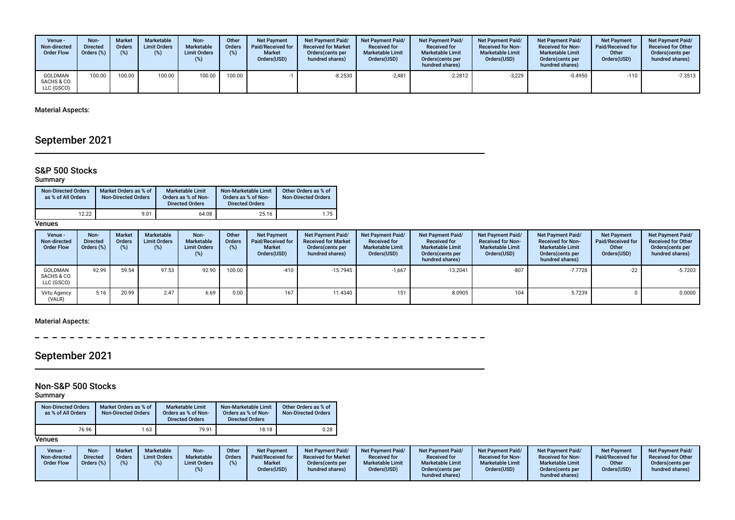| Venue -<br>Non-directed<br><b>Order Flow</b> | Non-<br><b>Directed</b><br>Orders (%) | <b>Market</b><br><b>Orders</b><br>(%) | Marketable<br><b>Limit Orders</b><br>(%) | Non-<br>Marketable<br><b>Limit Orders</b> | Other<br><b>Orders</b><br>(%) | <b>Net Payment</b><br>Paid/Received for<br><b>Market</b><br>Orders(USD) | <b>Net Payment Paid/</b><br><b>Received for Market</b><br>Orders (cents per<br>hundred shares) | <b>Net Payment Paid/</b><br><b>Received for</b><br><b>Marketable Limit</b><br>Orders(USD) | <b>Net Payment Paid/</b><br><b>Received for</b><br><b>Marketable Limit</b><br>Orders(cents per<br>hundred shares) | <b>Net Payment Paid/</b><br><b>Received for Non-</b><br><b>Marketable Limit</b><br>Orders(USD) | <b>Net Payment Paid/</b><br><b>Received for Non-</b><br><b>Marketable Limit</b><br>Orders (cents per<br>hundred shares) | <b>Net Payment</b><br><b>Paid/Received for</b><br>Other<br>Orders(USD) | <b>Net Payment Paid/</b><br><b>Received for Other</b><br>Orders (cents per<br>hundred shares) |
|----------------------------------------------|---------------------------------------|---------------------------------------|------------------------------------------|-------------------------------------------|-------------------------------|-------------------------------------------------------------------------|------------------------------------------------------------------------------------------------|-------------------------------------------------------------------------------------------|-------------------------------------------------------------------------------------------------------------------|------------------------------------------------------------------------------------------------|-------------------------------------------------------------------------------------------------------------------------|------------------------------------------------------------------------|-----------------------------------------------------------------------------------------------|
| <b>GOLDMAN</b><br>SACHS & CO.<br>LLC (GSCO)  | 100.00                                | 100.00                                | 100.00                                   | 100.00                                    | 100.00                        |                                                                         | $-8.2530$                                                                                      | $-2.481$                                                                                  | $-2.2812$                                                                                                         | $-3,229$                                                                                       | -0.4950                                                                                                                 | $-110$                                                                 | $-7.3513$                                                                                     |

# September 2021

#### S&P 500 Stocks

#### **Summary**

| <b>Non-Directed Orders</b><br>as % of All Orders | Market Orders as % of<br><b>Non-Directed Orders</b> | <b>Marketable Limit</b><br>Orders as % of Non-<br><b>Directed Orders</b> | Non-Marketable Limit<br>Orders as % of Non-<br><b>Directed Orders</b> | Other Orders as % of<br><b>Non-Directed Orders</b> |
|--------------------------------------------------|-----------------------------------------------------|--------------------------------------------------------------------------|-----------------------------------------------------------------------|----------------------------------------------------|
| 12.22                                            | 9.01                                                | 64.08                                                                    | 25.16                                                                 | 1.75                                               |

**Venues** 

| Venue -<br>Non-directed<br><b>Order Flow</b> | Non-<br><b>Directed</b><br>Orders (%) | <b>Market</b><br>Orders<br>(%) | <b>Marketable</b><br><b>Limit Orders</b><br>(%) | Non-<br>Marketable<br><b>Limit Orders</b><br>(%) | Other<br><b>Orders</b><br>(%) | <b>Net Payment</b><br>Paid/Received for<br><b>Market</b><br>Orders(USD) | Net Payment Paid/<br><b>Received for Market</b><br>Orders (cents per<br>hundred shares) | <b>Net Payment Paid/</b><br><b>Received for</b><br><b>Marketable Limit</b><br>Orders(USD) | <b>Net Payment Paid/</b><br><b>Received for</b><br><b>Marketable Limit</b><br>Orders (cents per<br>hundred shares) | <b>Net Payment Paid/</b><br><b>Received for Non-</b><br><b>Marketable Limit</b><br>Orders(USD) | Net Payment Paid/<br><b>Received for Non-</b><br><b>Marketable Limit</b><br>Orders (cents per<br>hundred shares) | <b>Net Payment</b><br><b>Paid/Received for</b><br>Other<br>Orders(USD) | <b>Net Payment Paid/</b><br><b>Received for Other</b><br>Orders(cents per<br>hundred shares) |
|----------------------------------------------|---------------------------------------|--------------------------------|-------------------------------------------------|--------------------------------------------------|-------------------------------|-------------------------------------------------------------------------|-----------------------------------------------------------------------------------------|-------------------------------------------------------------------------------------------|--------------------------------------------------------------------------------------------------------------------|------------------------------------------------------------------------------------------------|------------------------------------------------------------------------------------------------------------------|------------------------------------------------------------------------|----------------------------------------------------------------------------------------------|
| <b>GOLDMAN</b><br>SACHS & CO.<br>LLC (GSCO)  | 92.99                                 | 59.54                          | 97.53                                           | 92.90                                            | 100.00                        | $-410$                                                                  | $-15.7945$                                                                              | $-1,667$                                                                                  | $-13.2041$                                                                                                         | $-807$                                                                                         | $-7.7728$                                                                                                        | $-22$                                                                  | $-5.7203$                                                                                    |
| Virtu Agency<br>(VALR)                       | 5.16                                  | 20.99                          | 2.47                                            | 6.69                                             | 0.00                          | 167                                                                     | 11.4340                                                                                 | 151                                                                                       | 8.0905                                                                                                             | 104                                                                                            | 5.7239                                                                                                           |                                                                        | 0.0000                                                                                       |

#### Material Aspects:

----------- $\overline{\phantom{a}}$ 

# September 2021

### Non-S&P 500 Stocks

Summary

| <b>Non-Directed Orders</b><br>as % of All Orders | Market Orders as % of<br><b>Non-Directed Orders</b> | <b>Marketable Limit</b><br>Orders as % of Non-<br><b>Directed Orders</b> | Non-Marketable Limit<br>Orders as % of Non-<br><b>Directed Orders</b> | Other Orders as % of<br><b>Non-Directed Orders</b> |
|--------------------------------------------------|-----------------------------------------------------|--------------------------------------------------------------------------|-----------------------------------------------------------------------|----------------------------------------------------|
| 76.96                                            | .63                                                 | 79.91                                                                    | 18.18                                                                 | 0.28                                               |